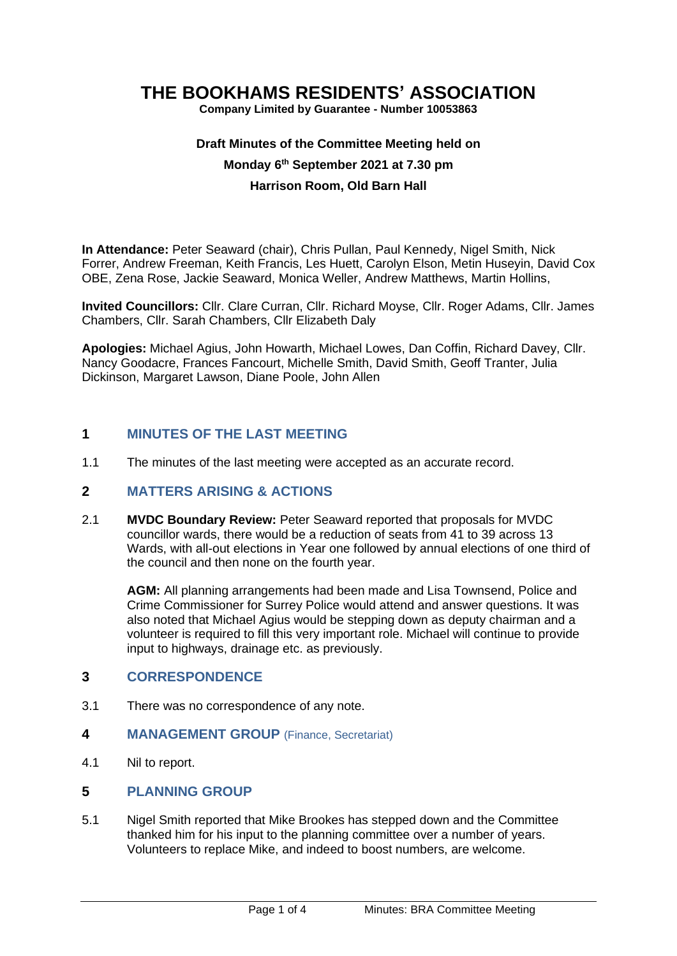# **THE BOOKHAMS RESIDENTS' ASSOCIATION**

**Company Limited by Guarantee - Number 10053863**

# **Draft Minutes of the Committee Meeting held on Monday 6 th September 2021 at 7.30 pm Harrison Room, Old Barn Hall**

**In Attendance:** Peter Seaward (chair), Chris Pullan, Paul Kennedy, Nigel Smith, Nick Forrer, Andrew Freeman, Keith Francis, Les Huett, Carolyn Elson, Metin Huseyin, David Cox OBE, Zena Rose, Jackie Seaward, Monica Weller, Andrew Matthews, Martin Hollins,

**Invited Councillors:** Cllr. Clare Curran, Cllr. Richard Moyse, Cllr. Roger Adams, Cllr. James Chambers, Cllr. Sarah Chambers, Cllr Elizabeth Daly

**Apologies:** Michael Agius, John Howarth, Michael Lowes, Dan Coffin, Richard Davey, Cllr. Nancy Goodacre, Frances Fancourt, Michelle Smith, David Smith, Geoff Tranter, Julia Dickinson, Margaret Lawson, Diane Poole, John Allen

## **1 MINUTES OF THE LAST MEETING**

1.1 The minutes of the last meeting were accepted as an accurate record.

## **2 MATTERS ARISING & ACTIONS**

2.1 **MVDC Boundary Review:** Peter Seaward reported that proposals for MVDC councillor wards, there would be a reduction of seats from 41 to 39 across 13 Wards, with all-out elections in Year one followed by annual elections of one third of the council and then none on the fourth year.

**AGM:** All planning arrangements had been made and Lisa Townsend, Police and Crime Commissioner for Surrey Police would attend and answer questions. It was also noted that Michael Agius would be stepping down as deputy chairman and a volunteer is required to fill this very important role. Michael will continue to provide input to highways, drainage etc. as previously.

### **3 CORRESPONDENCE**

- 3.1 There was no correspondence of any note.
- **4 MANAGEMENT GROUP** (Finance, Secretariat)
- 4.1 Nil to report.

### **5 PLANNING GROUP**

5.1 Nigel Smith reported that Mike Brookes has stepped down and the Committee thanked him for his input to the planning committee over a number of years. Volunteers to replace Mike, and indeed to boost numbers, are welcome.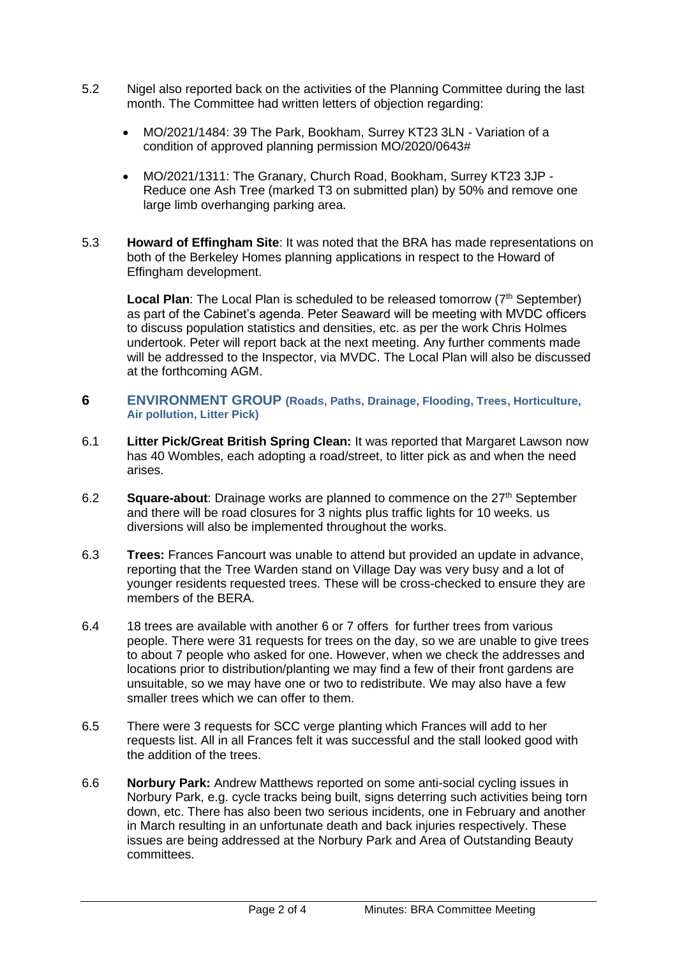- 5.2 Nigel also reported back on the activities of the Planning Committee during the last month. The Committee had written letters of objection regarding:
	- MO/2021/1484: 39 The Park, Bookham, Surrey KT23 3LN Variation of a condition of approved planning permission MO/2020/0643#
	- MO/2021/1311: The Granary, Church Road, Bookham, Surrey KT23 3JP Reduce one Ash Tree (marked T3 on submitted plan) by 50% and remove one large limb overhanging parking area.
- 5.3 **Howard of Effingham Site**: It was noted that the BRA has made representations on both of the Berkeley Homes planning applications in respect to the Howard of Effingham development.

**Local Plan**: The Local Plan is scheduled to be released tomorrow (7<sup>th</sup> September) as part of the Cabinet's agenda. Peter Seaward will be meeting with MVDC officers to discuss population statistics and densities, etc. as per the work Chris Holmes undertook. Peter will report back at the next meeting. Any further comments made will be addressed to the Inspector, via MVDC. The Local Plan will also be discussed at the forthcoming AGM.

- **6 ENVIRONMENT GROUP (Roads, Paths, Drainage, Flooding, Trees, Horticulture, Air pollution, Litter Pick)**
- 6.1 **Litter Pick/Great British Spring Clean:** It was reported that Margaret Lawson now has 40 Wombles, each adopting a road/street, to litter pick as and when the need arises.
- 6.2 **Square-about**: Drainage works are planned to commence on the 27<sup>th</sup> September and there will be road closures for 3 nights plus traffic lights for 10 weeks. us diversions will also be implemented throughout the works.
- 6.3 **Trees:** Frances Fancourt was unable to attend but provided an update in advance, reporting that the Tree Warden stand on Village Day was very busy and a lot of younger residents requested trees. These will be cross-checked to ensure they are members of the BERA.
- 6.4 18 trees are available with another 6 or 7 offers for further trees from various people. There were 31 requests for trees on the day, so we are unable to give trees to about 7 people who asked for one. However, when we check the addresses and locations prior to distribution/planting we may find a few of their front gardens are unsuitable, so we may have one or two to redistribute. We may also have a few smaller trees which we can offer to them.
- 6.5 There were 3 requests for SCC verge planting which Frances will add to her requests list. All in all Frances felt it was successful and the stall looked good with the addition of the trees.
- 6.6 **Norbury Park:** Andrew Matthews reported on some anti-social cycling issues in Norbury Park, e.g. cycle tracks being built, signs deterring such activities being torn down, etc. There has also been two serious incidents, one in February and another in March resulting in an unfortunate death and back injuries respectively. These issues are being addressed at the Norbury Park and Area of Outstanding Beauty committees.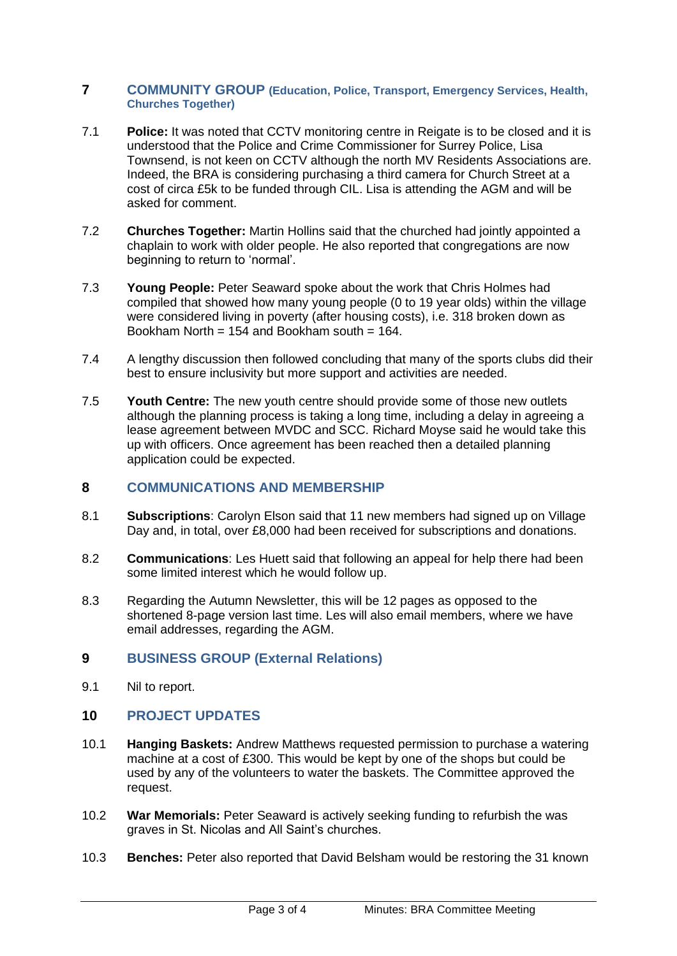#### **7 COMMUNITY GROUP (Education, Police, Transport, Emergency Services, Health, Churches Together)**

- 7.1 **Police:** It was noted that CCTV monitoring centre in Reigate is to be closed and it is understood that the Police and Crime Commissioner for Surrey Police, Lisa Townsend, is not keen on CCTV although the north MV Residents Associations are. Indeed, the BRA is considering purchasing a third camera for Church Street at a cost of circa £5k to be funded through CIL. Lisa is attending the AGM and will be asked for comment.
- 7.2 **Churches Together:** Martin Hollins said that the churched had jointly appointed a chaplain to work with older people. He also reported that congregations are now beginning to return to 'normal'.
- 7.3 **Young People:** Peter Seaward spoke about the work that Chris Holmes had compiled that showed how many young people (0 to 19 year olds) within the village were considered living in poverty (after housing costs), i.e. 318 broken down as Bookham North =  $154$  and Bookham south =  $164$ .
- 7.4 A lengthy discussion then followed concluding that many of the sports clubs did their best to ensure inclusivity but more support and activities are needed.
- 7.5 **Youth Centre:** The new youth centre should provide some of those new outlets although the planning process is taking a long time, including a delay in agreeing a lease agreement between MVDC and SCC. Richard Moyse said he would take this up with officers. Once agreement has been reached then a detailed planning application could be expected.

## **8 COMMUNICATIONS AND MEMBERSHIP**

- 8.1 **Subscriptions**: Carolyn Elson said that 11 new members had signed up on Village Day and, in total, over £8,000 had been received for subscriptions and donations.
- 8.2 **Communications**: Les Huett said that following an appeal for help there had been some limited interest which he would follow up.
- 8.3 Regarding the Autumn Newsletter, this will be 12 pages as opposed to the shortened 8-page version last time. Les will also email members, where we have email addresses, regarding the AGM.

## **9 BUSINESS GROUP (External Relations)**

9.1 Nil to report.

## **10 PROJECT UPDATES**

- 10.1 **Hanging Baskets:** Andrew Matthews requested permission to purchase a watering machine at a cost of £300. This would be kept by one of the shops but could be used by any of the volunteers to water the baskets. The Committee approved the request.
- 10.2 **War Memorials:** Peter Seaward is actively seeking funding to refurbish the was graves in St. Nicolas and All Saint's churches.
- 10.3 **Benches:** Peter also reported that David Belsham would be restoring the 31 known